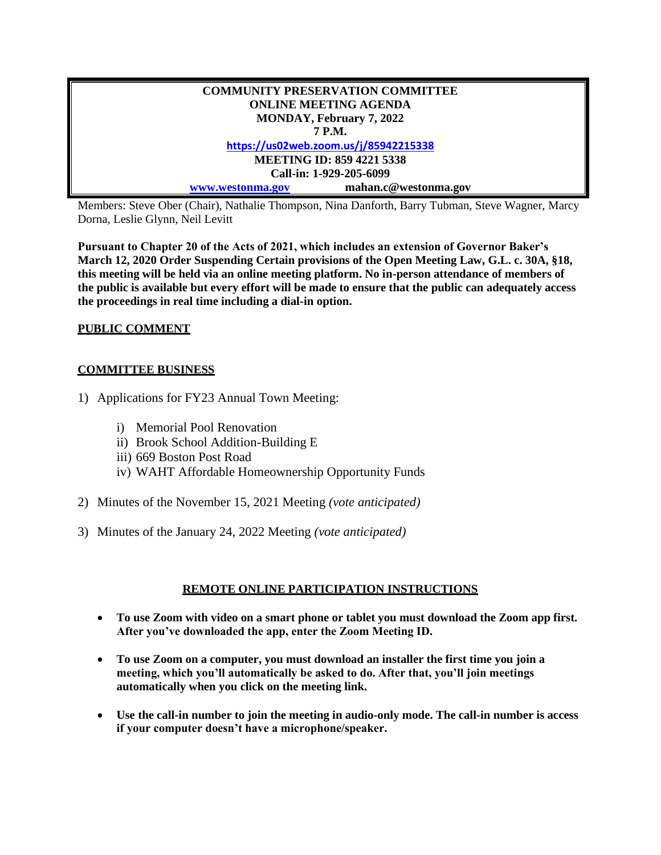| <b>COMMUNITY PRESERVATION COMMITTEE</b> |                      |
|-----------------------------------------|----------------------|
| <b>ONLINE MEETING AGENDA</b>            |                      |
| <b>MONDAY, February 7, 2022</b>         |                      |
| 7 P.M.                                  |                      |
| https://us02web.zoom.us/j/85942215338   |                      |
| <b>MEETING ID: 859 4221 5338</b>        |                      |
| Call-in: 1-929-205-6099                 |                      |
| www.westonma.gov                        | mahan.c@westonma.gov |

Members: Steve Ober (Chair), Nathalie Thompson, Nina Danforth, Barry Tubman, Steve Wagner, Marcy Dorna, Leslie Glynn, Neil Levitt

**Pursuant to Chapter 20 of the Acts of 2021, which includes an extension of Governor Baker's March 12, 2020 Order Suspending Certain provisions of the Open Meeting Law, G.L. c. 30A, §18, this meeting will be held via an online meeting platform. No in-person attendance of members of the public is available but every effort will be made to ensure that the public can adequately access the proceedings in real time including a dial-in option.**

## **PUBLIC COMMENT**

## **COMMITTEE BUSINESS**

- 1) Applications for FY23 Annual Town Meeting:
	- i) Memorial Pool Renovation
	- ii) Brook School Addition-Building E
	- iii) 669 Boston Post Road
	- iv) WAHT Affordable Homeownership Opportunity Funds
- 2) Minutes of the November 15, 2021 Meeting *(vote anticipated)*
- 3) Minutes of the January 24, 2022 Meeting *(vote anticipated)*

## **REMOTE ONLINE PARTICIPATION INSTRUCTIONS**

- **To use Zoom with video on a smart phone or tablet you must download the Zoom app first. After you've downloaded the app, enter the Zoom Meeting ID.**
- **To use Zoom on a computer, you must download an installer the first time you join a meeting, which you'll automatically be asked to do. After that, you'll join meetings automatically when you click on the meeting link.**
- **Use the call-in number to join the meeting in audio-only mode. The call-in number is access if your computer doesn't have a microphone/speaker.**